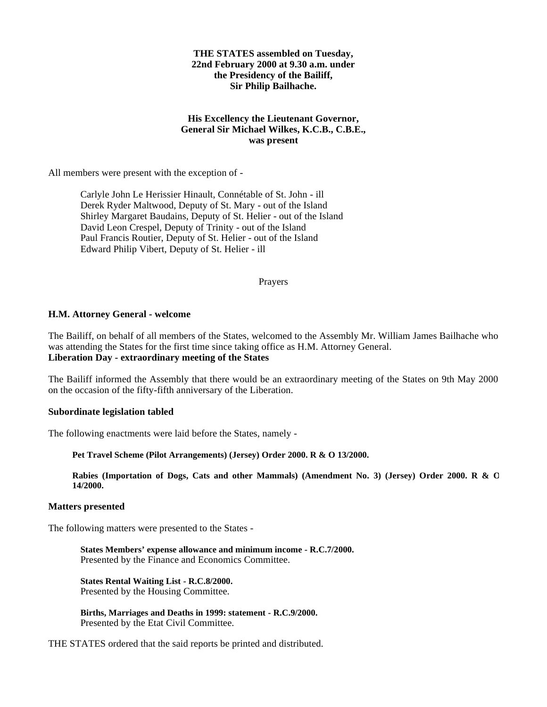### **THE STATES assembled on Tuesday, 22nd February 2000 at 9.30 a.m. under the Presidency of the Bailiff, Sir Philip Bailhache.**

# **His Excellency the Lieutenant Governor, General Sir Michael Wilkes, K.C.B., C.B.E., was present**

All members were present with the exception of -

Carlyle John Le Herissier Hinault, Connétable of St. John - ill Derek Ryder Maltwood, Deputy of St. Mary - out of the Island Shirley Margaret Baudains, Deputy of St. Helier - out of the Island David Leon Crespel, Deputy of Trinity - out of the Island Paul Francis Routier, Deputy of St. Helier - out of the Island Edward Philip Vibert, Deputy of St. Helier - ill

### Prayers

### **H.M. Attorney General - welcome**

The Bailiff, on behalf of all members of the States, welcomed to the Assembly Mr. William James Bailhache who was attending the States for the first time since taking office as H.M. Attorney General. **Liberation Day - extraordinary meeting of the States**

The Bailiff informed the Assembly that there would be an extraordinary meeting of the States on 9th May 2000 on the occasion of the fifty-fifth anniversary of the Liberation.

#### **Subordinate legislation tabled**

The following enactments were laid before the States, namely -

**Pet Travel Scheme (Pilot Arrangements) (Jersey) Order 2000. R & O 13/2000.**

**Rabies (Importation of Dogs, Cats and other Mammals) (Amendment No. 3) (Jersey) Order 2000. R & O 14/2000.**

#### **Matters presented**

The following matters were presented to the States -

**States Members' expense allowance and minimum income - R.C.7/2000.** Presented by the Finance and Economics Committee.

**States Rental Waiting List - R.C.8/2000.** Presented by the Housing Committee.

**Births, Marriages and Deaths in 1999: statement - R.C.9/2000.** Presented by the Etat Civil Committee*.*

THE STATES ordered that the said reports be printed and distributed.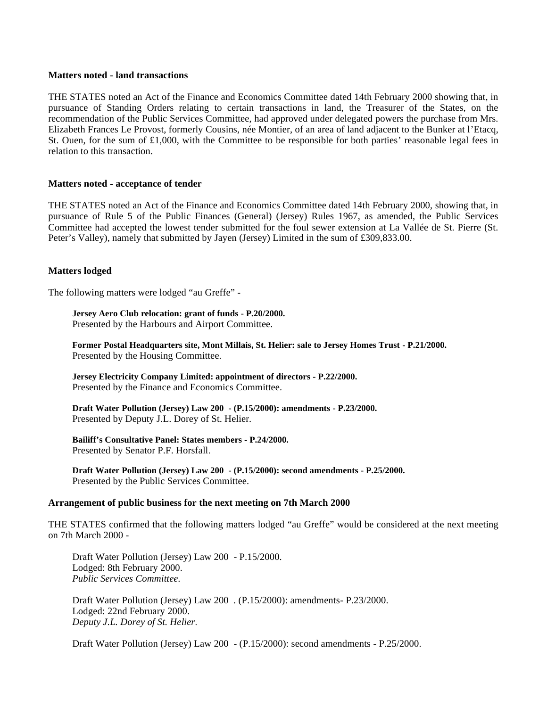### **Matters noted - land transactions**

THE STATES noted an Act of the Finance and Economics Committee dated 14th February 2000 showing that, in pursuance of Standing Orders relating to certain transactions in land, the Treasurer of the States, on the recommendation of the Public Services Committee, had approved under delegated powers the purchase from Mrs. Elizabeth Frances Le Provost, formerly Cousins, née Montier, of an area of land adjacent to the Bunker at l'Etacq, St. Ouen, for the sum of  $\text{\pounds}1,000$ , with the Committee to be responsible for both parties' reasonable legal fees in relation to this transaction.

### **Matters noted - acceptance of tender**

THE STATES noted an Act of the Finance and Economics Committee dated 14th February 2000, showing that, in pursuance of Rule 5 of the Public Finances (General) (Jersey) Rules 1967, as amended, the Public Services Committee had accepted the lowest tender submitted for the foul sewer extension at La Vallée de St. Pierre (St. Peter's Valley), namely that submitted by Jayen (Jersey) Limited in the sum of £309,833.00.

### **Matters lodged**

The following matters were lodged "au Greffe" -

# **Jersey Aero Club relocation: grant of funds - P.20/2000.**

Presented by the Harbours and Airport Committee.

**Former Postal Headquarters site, Mont Millais, St. Helier: sale to Jersey Homes Trust - P.21/2000.** Presented by the Housing Committee.

**Jersey Electricity Company Limited: appointment of directors - P.22/2000.** Presented by the Finance and Economics Committee.

**Draft Water Pollution (Jersey) Law 200 - (P.15/2000): amendments - P.23/2000.** Presented by Deputy J.L. Dorey of St. Helier.

**Bailiff's Consultative Panel: States members - P.24/2000.** Presented by Senator P.F. Horsfall.

**Draft Water Pollution (Jersey) Law 200 - (P.15/2000): second amendments - P.25/2000.** Presented by the Public Services Committee.

### **Arrangement of public business for the next meeting on 7th March 2000**

THE STATES confirmed that the following matters lodged "au Greffe" would be considered at the next meeting on 7th March 2000 -

Draft Water Pollution (Jersey) Law 200 - P.15/2000. Lodged: 8th February 2000. *Public Services Committee.*

Draft Water Pollution (Jersey) Law 200 . (P.15/2000): amendments- P.23/2000. Lodged: 22nd February 2000. *Deputy J.L. Dorey of St. Helier.*

Draft Water Pollution (Jersey) Law 200 - (P.15/2000): second amendments - P.25/2000.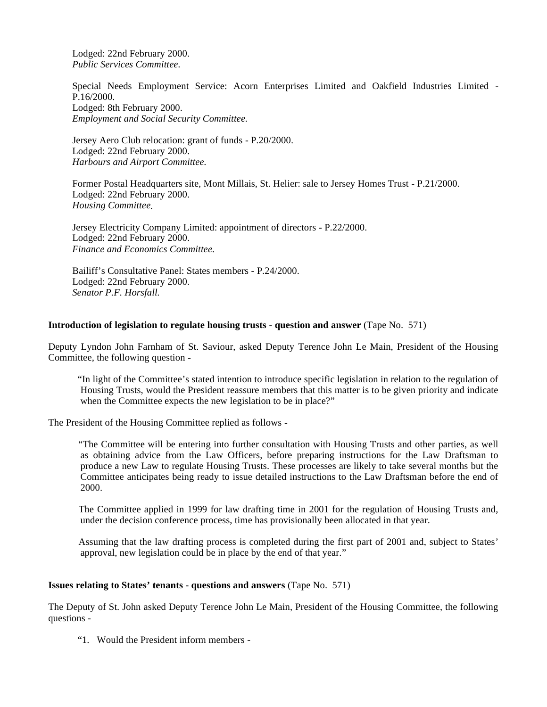Lodged: 22nd February 2000. *Public Services Committee.*

Special Needs Employment Service: Acorn Enterprises Limited and Oakfield Industries Limited - P.16/2000. Lodged: 8th February 2000. *Employment and Social Security Committee.*

Jersey Aero Club relocation: grant of funds - P.20/2000. Lodged: 22nd February 2000. *Harbours and Airport Committee.*

Former Postal Headquarters site, Mont Millais, St. Helier: sale to Jersey Homes Trust - P.21/2000. Lodged: 22nd February 2000. *Housing Committee.*

Jersey Electricity Company Limited: appointment of directors - P.22/2000. Lodged: 22nd February 2000. *Finance and Economics Committee.*

Bailiff's Consultative Panel: States members - P.24/2000. Lodged: 22nd February 2000. *Senator P.F. Horsfall.*

# **Introduction of legislation to regulate housing trusts - question and answer** (Tape No. 571)

Deputy Lyndon John Farnham of St. Saviour, asked Deputy Terence John Le Main, President of the Housing Committee, the following question -

 "In light of the Committee's stated intention to introduce specific legislation in relation to the regulation of Housing Trusts, would the President reassure members that this matter is to be given priority and indicate when the Committee expects the new legislation to be in place?"

The President of the Housing Committee replied as follows -

 "The Committee will be entering into further consultation with Housing Trusts and other parties, as well as obtaining advice from the Law Officers, before preparing instructions for the Law Draftsman to produce a new Law to regulate Housing Trusts. These processes are likely to take several months but the Committee anticipates being ready to issue detailed instructions to the Law Draftsman before the end of 2000.

 The Committee applied in 1999 for law drafting time in 2001 for the regulation of Housing Trusts and, under the decision conference process, time has provisionally been allocated in that year.

 Assuming that the law drafting process is completed during the first part of 2001 and, subject to States' approval, new legislation could be in place by the end of that year."

### **Issues relating to States' tenants - questions and answers** (Tape No. 571)

The Deputy of St. John asked Deputy Terence John Le Main, President of the Housing Committee, the following questions -

"1. Would the President inform members -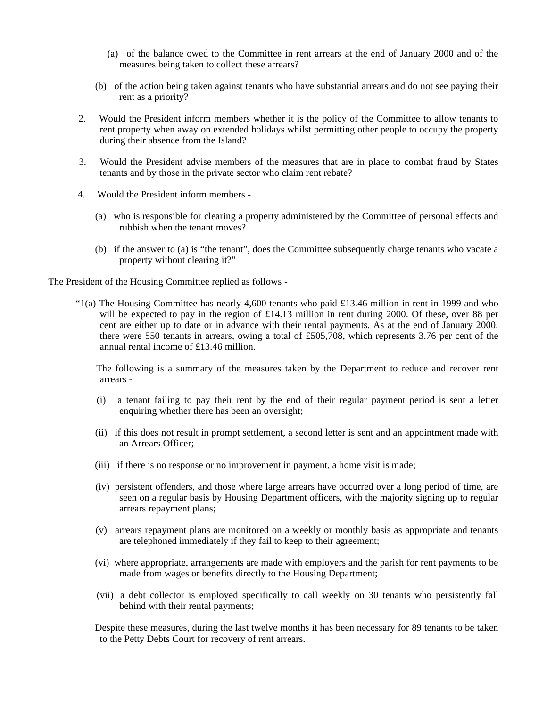- (a) of the balance owed to the Committee in rent arrears at the end of January 2000 and of the measures being taken to collect these arrears?
- (b) of the action being taken against tenants who have substantial arrears and do not see paying their rent as a priority?
- 2. Would the President inform members whether it is the policy of the Committee to allow tenants to rent property when away on extended holidays whilst permitting other people to occupy the property during their absence from the Island?
- 3. Would the President advise members of the measures that are in place to combat fraud by States tenants and by those in the private sector who claim rent rebate?
- 4. Would the President inform members
	- (a) who is responsible for clearing a property administered by the Committee of personal effects and rubbish when the tenant moves?
	- (b) if the answer to (a) is "the tenant", does the Committee subsequently charge tenants who vacate a property without clearing it?"

The President of the Housing Committee replied as follows -

 "1(a) The Housing Committee has nearly 4,600 tenants who paid £13.46 million in rent in 1999 and who will be expected to pay in the region of £14.13 million in rent during 2000. Of these, over 88 per cent are either up to date or in advance with their rental payments. As at the end of January 2000, there were 550 tenants in arrears, owing a total of £505,708, which represents 3.76 per cent of the annual rental income of £13.46 million.

 The following is a summary of the measures taken by the Department to reduce and recover rent arrears -

- (i) a tenant failing to pay their rent by the end of their regular payment period is sent a letter enquiring whether there has been an oversight;
- (ii) if this does not result in prompt settlement, a second letter is sent and an appointment made with an Arrears Officer;
- (iii) if there is no response or no improvement in payment, a home visit is made;
- (iv) persistent offenders, and those where large arrears have occurred over a long period of time, are seen on a regular basis by Housing Department officers, with the majority signing up to regular arrears repayment plans;
- (v) arrears repayment plans are monitored on a weekly or monthly basis as appropriate and tenants are telephoned immediately if they fail to keep to their agreement;
- (vi) where appropriate, arrangements are made with employers and the parish for rent payments to be made from wages or benefits directly to the Housing Department;
- (vii) a debt collector is employed specifically to call weekly on 30 tenants who persistently fall behind with their rental payments;

 Despite these measures, during the last twelve months it has been necessary for 89 tenants to be taken to the Petty Debts Court for recovery of rent arrears.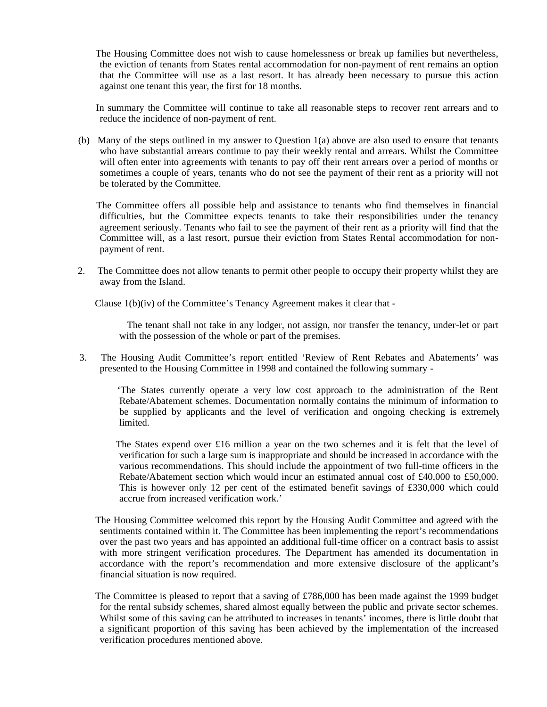The Housing Committee does not wish to cause homelessness or break up families but nevertheless, the eviction of tenants from States rental accommodation for non-payment of rent remains an option that the Committee will use as a last resort. It has already been necessary to pursue this action against one tenant this year, the first for 18 months.

 In summary the Committee will continue to take all reasonable steps to recover rent arrears and to reduce the incidence of non-payment of rent.

 (b) Many of the steps outlined in my answer to Question 1(a) above are also used to ensure that tenants who have substantial arrears continue to pay their weekly rental and arrears. Whilst the Committee will often enter into agreements with tenants to pay off their rent arrears over a period of months or sometimes a couple of years, tenants who do not see the payment of their rent as a priority will not be tolerated by the Committee.

 The Committee offers all possible help and assistance to tenants who find themselves in financial difficulties, but the Committee expects tenants to take their responsibilities under the tenancy agreement seriously. Tenants who fail to see the payment of their rent as a priority will find that the Committee will, as a last resort, pursue their eviction from States Rental accommodation for nonpayment of rent.

 2. The Committee does not allow tenants to permit other people to occupy their property whilst they are away from the Island.

Clause 1(b)(iv) of the Committee's Tenancy Agreement makes it clear that -

The tenant shall not take in any lodger, not assign, nor transfer the tenancy, under-let or part with the possession of the whole or part of the premises.

 3. The Housing Audit Committee's report entitled 'Review of Rent Rebates and Abatements' was presented to the Housing Committee in 1998 and contained the following summary -

 'The States currently operate a very low cost approach to the administration of the Rent Rebate/Abatement schemes. Documentation normally contains the minimum of information to be supplied by applicants and the level of verification and ongoing checking is extremely limited.

The States expend over £16 million a year on the two schemes and it is felt that the level of verification for such a large sum is inappropriate and should be increased in accordance with the various recommendations. This should include the appointment of two full-time officers in the Rebate/Abatement section which would incur an estimated annual cost of £40,000 to £50,000. This is however only 12 per cent of the estimated benefit savings of £330,000 which could accrue from increased verification work.'

- The Housing Committee welcomed this report by the Housing Audit Committee and agreed with the sentiments contained within it. The Committee has been implementing the report's recommendations over the past two years and has appointed an additional full-time officer on a contract basis to assist with more stringent verification procedures. The Department has amended its documentation in accordance with the report's recommendation and more extensive disclosure of the applicant's financial situation is now required.
- The Committee is pleased to report that a saving of £786,000 has been made against the 1999 budget for the rental subsidy schemes, shared almost equally between the public and private sector schemes. Whilst some of this saving can be attributed to increases in tenants' incomes, there is little doubt that a significant proportion of this saving has been achieved by the implementation of the increased verification procedures mentioned above.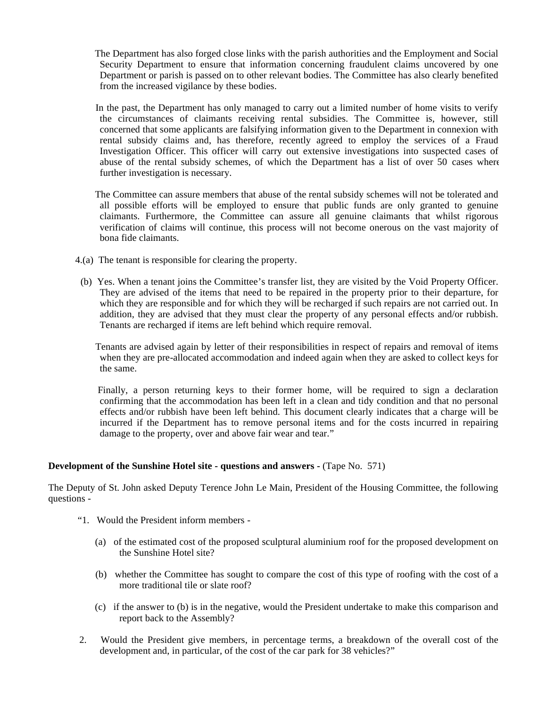The Department has also forged close links with the parish authorities and the Employment and Social Security Department to ensure that information concerning fraudulent claims uncovered by one Department or parish is passed on to other relevant bodies. The Committee has also clearly benefited from the increased vigilance by these bodies.

 In the past, the Department has only managed to carry out a limited number of home visits to verify the circumstances of claimants receiving rental subsidies. The Committee is, however, still concerned that some applicants are falsifying information given to the Department in connexion with rental subsidy claims and, has therefore, recently agreed to employ the services of a Fraud Investigation Officer. This officer will carry out extensive investigations into suspected cases of abuse of the rental subsidy schemes, of which the Department has a list of over 50 cases where further investigation is necessary.

 The Committee can assure members that abuse of the rental subsidy schemes will not be tolerated and all possible efforts will be employed to ensure that public funds are only granted to genuine claimants. Furthermore, the Committee can assure all genuine claimants that whilst rigorous verification of claims will continue, this process will not become onerous on the vast majority of bona fide claimants.

- 4.(a) The tenant is responsible for clearing the property.
	- (b) Yes. When a tenant joins the Committee's transfer list, they are visited by the Void Property Officer. They are advised of the items that need to be repaired in the property prior to their departure, for which they are responsible and for which they will be recharged if such repairs are not carried out. In addition, they are advised that they must clear the property of any personal effects and/or rubbish. Tenants are recharged if items are left behind which require removal.

 Tenants are advised again by letter of their responsibilities in respect of repairs and removal of items when they are pre-allocated accommodation and indeed again when they are asked to collect keys for the same.

 Finally, a person returning keys to their former home, will be required to sign a declaration confirming that the accommodation has been left in a clean and tidy condition and that no personal effects and/or rubbish have been left behind. This document clearly indicates that a charge will be incurred if the Department has to remove personal items and for the costs incurred in repairing damage to the property, over and above fair wear and tear."

### **Development of the Sunshine Hotel site - questions and answers -** (Tape No. 571)

The Deputy of St. John asked Deputy Terence John Le Main, President of the Housing Committee, the following questions -

- "1. Would the President inform members
	- (a) of the estimated cost of the proposed sculptural aluminium roof for the proposed development on the Sunshine Hotel site?
	- (b) whether the Committee has sought to compare the cost of this type of roofing with the cost of a more traditional tile or slate roof?
	- (c) if the answer to (b) is in the negative, would the President undertake to make this comparison and report back to the Assembly?
- 2. Would the President give members, in percentage terms, a breakdown of the overall cost of the development and, in particular, of the cost of the car park for 38 vehicles?"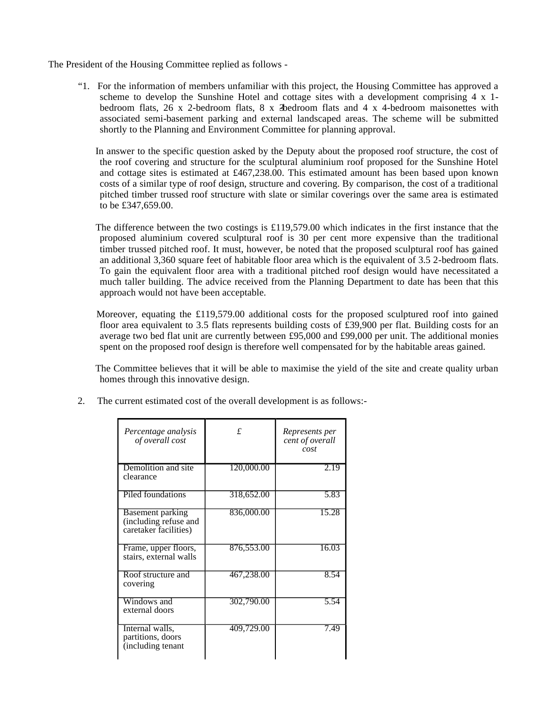The President of the Housing Committee replied as follows -

 "1. For the information of members unfamiliar with this project, the Housing Committee has approved a scheme to develop the Sunshine Hotel and cottage sites with a development comprising 4 x 1 bedroom flats,  $26 \times 2$ -bedroom flats,  $8 \times 3$ bedroom flats and  $4 \times 4$ -bedroom maisonettes with associated semi-basement parking and external landscaped areas. The scheme will be submitted shortly to the Planning and Environment Committee for planning approval.

 In answer to the specific question asked by the Deputy about the proposed roof structure, the cost of the roof covering and structure for the sculptural aluminium roof proposed for the Sunshine Hotel and cottage sites is estimated at £467,238.00. This estimated amount has been based upon known costs of a similar type of roof design, structure and covering. By comparison, the cost of a traditional pitched timber trussed roof structure with slate or similar coverings over the same area is estimated to be £347,659.00.

 The difference between the two costings is £119,579.00 which indicates in the first instance that the proposed aluminium covered sculptural roof is 30 per cent more expensive than the traditional timber trussed pitched roof. It must, however, be noted that the proposed sculptural roof has gained an additional 3,360 square feet of habitable floor area which is the equivalent of 3.5 2-bedroom flats. To gain the equivalent floor area with a traditional pitched roof design would have necessitated a much taller building. The advice received from the Planning Department to date has been that this approach would not have been acceptable.

 Moreover, equating the £119,579.00 additional costs for the proposed sculptured roof into gained floor area equivalent to 3.5 flats represents building costs of £39,900 per flat. Building costs for an average two bed flat unit are currently between £95,000 and £99,000 per unit. The additional monies spent on the proposed roof design is therefore well compensated for by the habitable areas gained.

 The Committee believes that it will be able to maximise the yield of the site and create quality urban homes through this innovative design.

| Percentage analysis<br>of overall cost                             | $\mathbf{f}$ | Represents per<br>cent of overall<br>cost |
|--------------------------------------------------------------------|--------------|-------------------------------------------|
| Demolition and site<br>clearance                                   | 120,000.00   | 2.19                                      |
| Piled foundations                                                  | 318,652.00   | 5.83                                      |
| Basement parking<br>(including refuse and<br>caretaker facilities) | 836,000.00   | 15.28                                     |
| Frame, upper floors,<br>stairs, external walls                     | 876,553.00   | 16.03                                     |
| Roof structure and<br>covering                                     | 467,238.00   | 8.54                                      |
| Windows and<br>external doors                                      | 302,790.00   | 5.54                                      |
| Internal walls,<br>partitions, doors<br>(including tenant          | 409,729.00   | 7.49                                      |

2. The current estimated cost of the overall development is as follows:-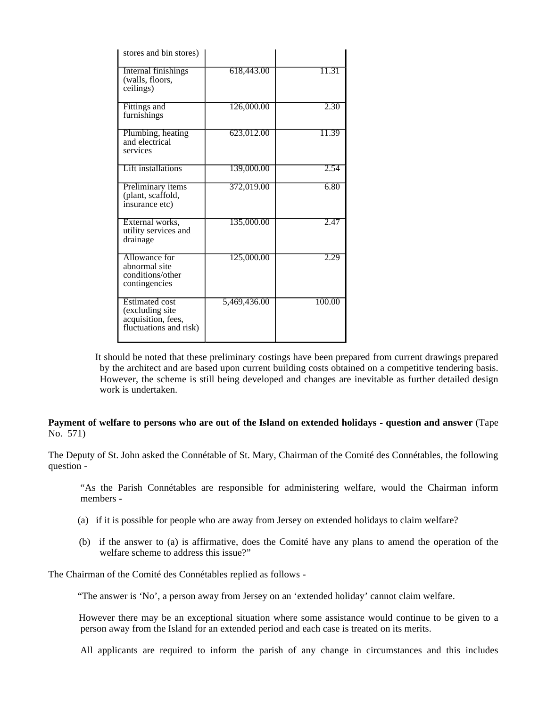| stores and bin stores)                                                                   |              |        |
|------------------------------------------------------------------------------------------|--------------|--------|
| Internal finishings<br>(walls, floors,<br>ceilings)                                      | 618,443.00   | 11.31  |
| Fittings and<br>furnishings                                                              | 126,000.00   | 2.30   |
| Plumbing, heating<br>and electrical<br>services                                          | 623,012.00   | 11.39  |
| <b>Lift installations</b>                                                                | 139,000.00   | 2.54   |
| Preliminary items<br>(plant, scaffold,<br>insurance etc)                                 | 372,019.00   | 6.80   |
| External works,<br>utility services and<br>drainage                                      | 135,000.00   | 2.47   |
| Allowance for<br>abnormal site<br>conditions/other<br>contingencies                      | 125,000.00   | 2.29   |
| <b>Estimated cost</b><br>(excluding site<br>acquisition, fees,<br>fluctuations and risk) | 5,469,436.00 | 100.00 |

 It should be noted that these preliminary costings have been prepared from current drawings prepared by the architect and are based upon current building costs obtained on a competitive tendering basis. However, the scheme is still being developed and changes are inevitable as further detailed design work is undertaken.

# **Payment of welfare to persons who are out of the Island on extended holidays - question and answer** (Tape No. 571)

The Deputy of St. John asked the Connétable of St. Mary, Chairman of the Comité des Connétables, the following question -

 "As the Parish Connétables are responsible for administering welfare, would the Chairman inform members -

- (a) if it is possible for people who are away from Jersey on extended holidays to claim welfare?
- (b) if the answer to (a) is affirmative, does the Comité have any plans to amend the operation of the welfare scheme to address this issue?"

The Chairman of the Comité des Connétables replied as follows -

"The answer is 'No', a person away from Jersey on an 'extended holiday' cannot claim welfare.

 However there may be an exceptional situation where some assistance would continue to be given to a person away from the Island for an extended period and each case is treated on its merits.

All applicants are required to inform the parish of any change in circumstances and this includes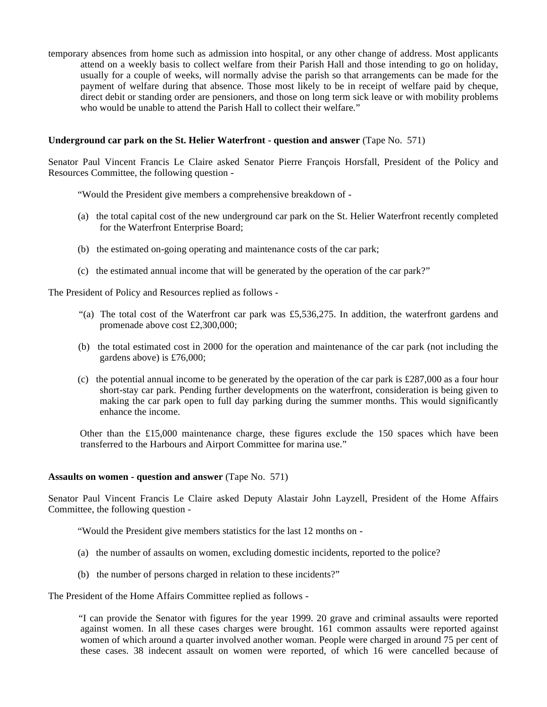temporary absences from home such as admission into hospital, or any other change of address. Most applicants attend on a weekly basis to collect welfare from their Parish Hall and those intending to go on holiday, usually for a couple of weeks, will normally advise the parish so that arrangements can be made for the payment of welfare during that absence. Those most likely to be in receipt of welfare paid by cheque, direct debit or standing order are pensioners, and those on long term sick leave or with mobility problems who would be unable to attend the Parish Hall to collect their welfare."

### **Underground car park on the St. Helier Waterfront - question and answer** (Tape No. 571)

Senator Paul Vincent Francis Le Claire asked Senator Pierre François Horsfall, President of the Policy and Resources Committee, the following question -

"Would the President give members a comprehensive breakdown of -

- (a) the total capital cost of the new underground car park on the St. Helier Waterfront recently completed for the Waterfront Enterprise Board;
- (b) the estimated on-going operating and maintenance costs of the car park;
- (c) the estimated annual income that will be generated by the operation of the car park?"

The President of Policy and Resources replied as follows -

- "(a) The total cost of the Waterfront car park was £5,536,275. In addition, the waterfront gardens and promenade above cost £2,300,000;
- (b) the total estimated cost in 2000 for the operation and maintenance of the car park (not including the gardens above) is £76,000;
- (c) the potential annual income to be generated by the operation of the car park is £287,000 as a four hour short-stay car park. Pending further developments on the waterfront, consideration is being given to making the car park open to full day parking during the summer months. This would significantly enhance the income.

Other than the  $£15,000$  maintenance charge, these figures exclude the 150 spaces which have been transferred to the Harbours and Airport Committee for marina use."

# **Assaults on women - question and answer** (Tape No. 571)

Senator Paul Vincent Francis Le Claire asked Deputy Alastair John Layzell, President of the Home Affairs Committee, the following question -

"Would the President give members statistics for the last 12 months on -

- (a) the number of assaults on women, excluding domestic incidents, reported to the police?
- (b) the number of persons charged in relation to these incidents?"

The President of the Home Affairs Committee replied as follows -

 "I can provide the Senator with figures for the year 1999. 20 grave and criminal assaults were reported against women. In all these cases charges were brought. 161 common assaults were reported against women of which around a quarter involved another woman. People were charged in around 75 per cent of these cases. 38 indecent assault on women were reported, of which 16 were cancelled because of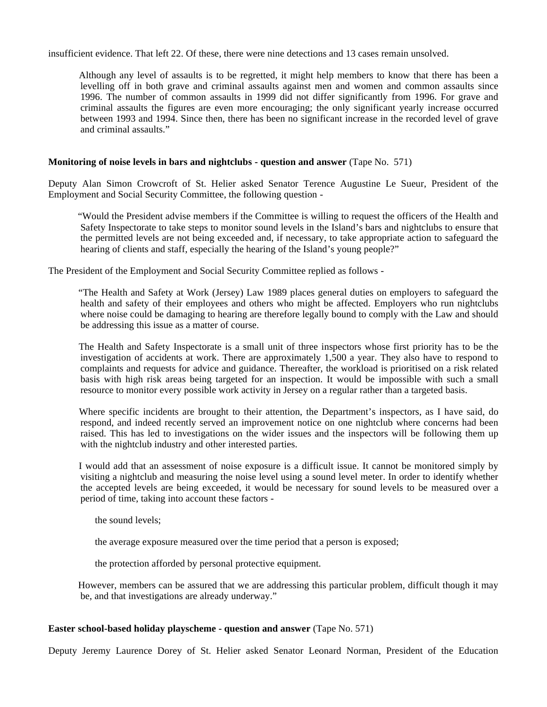insufficient evidence. That left 22. Of these, there were nine detections and 13 cases remain unsolved.

 Although any level of assaults is to be regretted, it might help members to know that there has been a levelling off in both grave and criminal assaults against men and women and common assaults since 1996. The number of common assaults in 1999 did not differ significantly from 1996. For grave and criminal assaults the figures are even more encouraging; the only significant yearly increase occurred between 1993 and 1994. Since then, there has been no significant increase in the recorded level of grave and criminal assaults."

# **Monitoring of noise levels in bars and nightclubs - question and answer** (Tape No. 571)

Deputy Alan Simon Crowcroft of St. Helier asked Senator Terence Augustine Le Sueur, President of the Employment and Social Security Committee, the following question -

 "Would the President advise members if the Committee is willing to request the officers of the Health and Safety Inspectorate to take steps to monitor sound levels in the Island's bars and nightclubs to ensure that the permitted levels are not being exceeded and, if necessary, to take appropriate action to safeguard the hearing of clients and staff, especially the hearing of the Island's young people?"

The President of the Employment and Social Security Committee replied as follows -

 "The Health and Safety at Work (Jersey) Law 1989 places general duties on employers to safeguard the health and safety of their employees and others who might be affected. Employers who run nightclubs where noise could be damaging to hearing are therefore legally bound to comply with the Law and should be addressing this issue as a matter of course.

 The Health and Safety Inspectorate is a small unit of three inspectors whose first priority has to be the investigation of accidents at work. There are approximately 1,500 a year. They also have to respond to complaints and requests for advice and guidance. Thereafter, the workload is prioritised on a risk related basis with high risk areas being targeted for an inspection. It would be impossible with such a small resource to monitor every possible work activity in Jersey on a regular rather than a targeted basis.

 Where specific incidents are brought to their attention, the Department's inspectors, as I have said, do respond, and indeed recently served an improvement notice on one nightclub where concerns had been raised. This has led to investigations on the wider issues and the inspectors will be following them up with the nightclub industry and other interested parties.

 I would add that an assessment of noise exposure is a difficult issue. It cannot be monitored simply by visiting a nightclub and measuring the noise level using a sound level meter. In order to identify whether the accepted levels are being exceeded, it would be necessary for sound levels to be measured over a period of time, taking into account these factors -

the sound levels;

the average exposure measured over the time period that a person is exposed;

the protection afforded by personal protective equipment.

 However, members can be assured that we are addressing this particular problem, difficult though it may be, and that investigations are already underway."

### **Easter school-based holiday playscheme - question and answer** (Tape No. 571)

Deputy Jeremy Laurence Dorey of St. Helier asked Senator Leonard Norman, President of the Education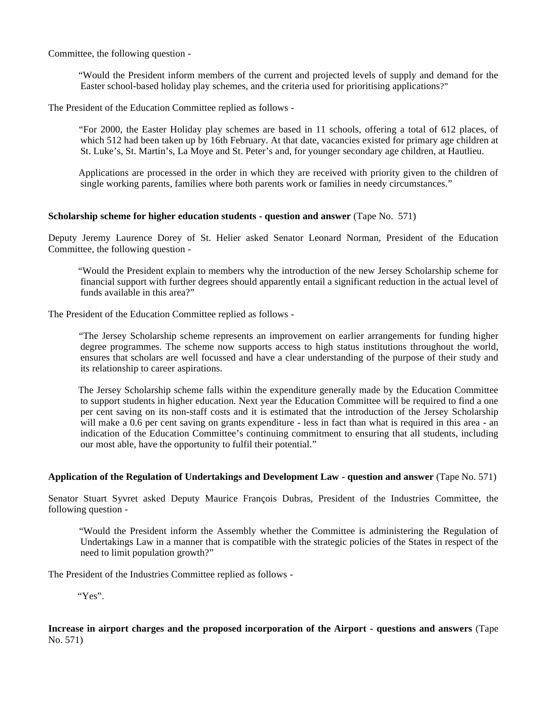Committee, the following question -

 "Would the President inform members of the current and projected levels of supply and demand for the Easter school-based holiday play schemes, and the criteria used for prioritising applications?"

The President of the Education Committee replied as follows -

 "For 2000, the Easter Holiday play schemes are based in 11 schools, offering a total of 612 places, of which 512 had been taken up by 16th February. At that date, vacancies existed for primary age children at St. Luke's, St. Martin's, La Moye and St. Peter's and, for younger secondary age children, at Hautlieu.

 Applications are processed in the order in which they are received with priority given to the children of single working parents, families where both parents work or families in needy circumstances."

### **Scholarship scheme for higher education students - question and answer** (Tape No. 571)

Deputy Jeremy Laurence Dorey of St. Helier asked Senator Leonard Norman, President of the Education Committee, the following question -

 "Would the President explain to members why the introduction of the new Jersey Scholarship scheme for financial support with further degrees should apparently entail a significant reduction in the actual level of funds available in this area?"

The President of the Education Committee replied as follows -

 "The Jersey Scholarship scheme represents an improvement on earlier arrangements for funding higher degree programmes. The scheme now supports access to high status institutions throughout the world, ensures that scholars are well focussed and have a clear understanding of the purpose of their study and its relationship to career aspirations.

 The Jersey Scholarship scheme falls within the expenditure generally made by the Education Committee to support students in higher education. Next year the Education Committee will be required to find a one per cent saving on its non-staff costs and it is estimated that the introduction of the Jersey Scholarship will make a 0.6 per cent saving on grants expenditure - less in fact than what is required in this area - an indication of the Education Committee's continuing commitment to ensuring that all students, including our most able, have the opportunity to fulfil their potential."

# **Application of the Regulation of Undertakings and Development Law - question and answer** (Tape No. 571)

Senator Stuart Syvret asked Deputy Maurice François Dubras, President of the Industries Committee, the following question -

 "Would the President inform the Assembly whether the Committee is administering the Regulation of Undertakings Law in a manner that is compatible with the strategic policies of the States in respect of the need to limit population growth?"

The President of the Industries Committee replied as follows -

"Yes".

# **Increase in airport charges and the proposed incorporation of the Airport - questions and answers** (Tape No. 571)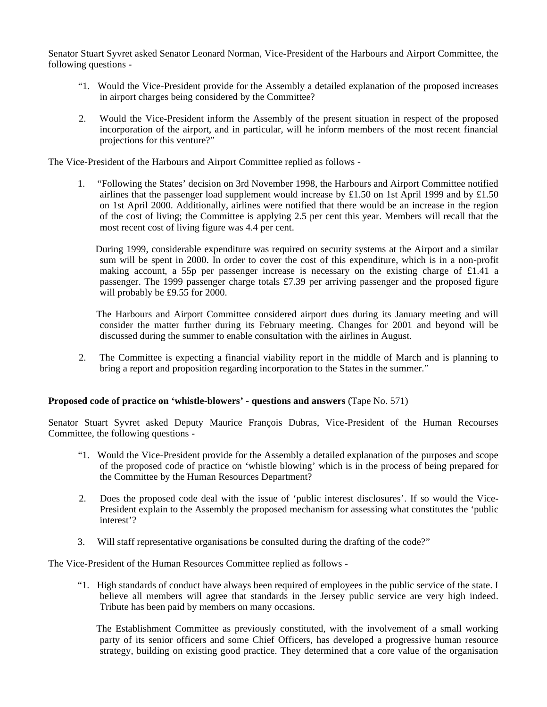Senator Stuart Syvret asked Senator Leonard Norman, Vice-President of the Harbours and Airport Committee, the following questions -

- "1. Would the Vice-President provide for the Assembly a detailed explanation of the proposed increases in airport charges being considered by the Committee?
- 2. Would the Vice-President inform the Assembly of the present situation in respect of the proposed incorporation of the airport, and in particular, will he inform members of the most recent financial projections for this venture?"

The Vice-President of the Harbours and Airport Committee replied as follows -

 1. "Following the States' decision on 3rd November 1998, the Harbours and Airport Committee notified airlines that the passenger load supplement would increase by £1.50 on 1st April 1999 and by £1.50 on 1st April 2000. Additionally, airlines were notified that there would be an increase in the region of the cost of living; the Committee is applying 2.5 per cent this year. Members will recall that the most recent cost of living figure was 4.4 per cent.

 During 1999, considerable expenditure was required on security systems at the Airport and a similar sum will be spent in 2000. In order to cover the cost of this expenditure, which is in a non-profit making account, a 55p per passenger increase is necessary on the existing charge of £1.41 a passenger. The 1999 passenger charge totals £7.39 per arriving passenger and the proposed figure will probably be £9.55 for 2000.

 The Harbours and Airport Committee considered airport dues during its January meeting and will consider the matter further during its February meeting. Changes for 2001 and beyond will be discussed during the summer to enable consultation with the airlines in August.

 2. The Committee is expecting a financial viability report in the middle of March and is planning to bring a report and proposition regarding incorporation to the States in the summer."

### **Proposed code of practice on 'whistle-blowers' - questions and answers** (Tape No. 571)

Senator Stuart Syvret asked Deputy Maurice François Dubras, Vice-President of the Human Recourses Committee, the following questions -

- "1. Would the Vice-President provide for the Assembly a detailed explanation of the purposes and scope of the proposed code of practice on 'whistle blowing' which is in the process of being prepared for the Committee by the Human Resources Department?
- 2. Does the proposed code deal with the issue of 'public interest disclosures'. If so would the Vice-President explain to the Assembly the proposed mechanism for assessing what constitutes the 'public interest'?
- 3. Will staff representative organisations be consulted during the drafting of the code?"

The Vice-President of the Human Resources Committee replied as follows -

 "1. High standards of conduct have always been required of employees in the public service of the state. I believe all members will agree that standards in the Jersey public service are very high indeed. Tribute has been paid by members on many occasions.

 The Establishment Committee as previously constituted, with the involvement of a small working party of its senior officers and some Chief Officers, has developed a progressive human resource strategy, building on existing good practice. They determined that a core value of the organisation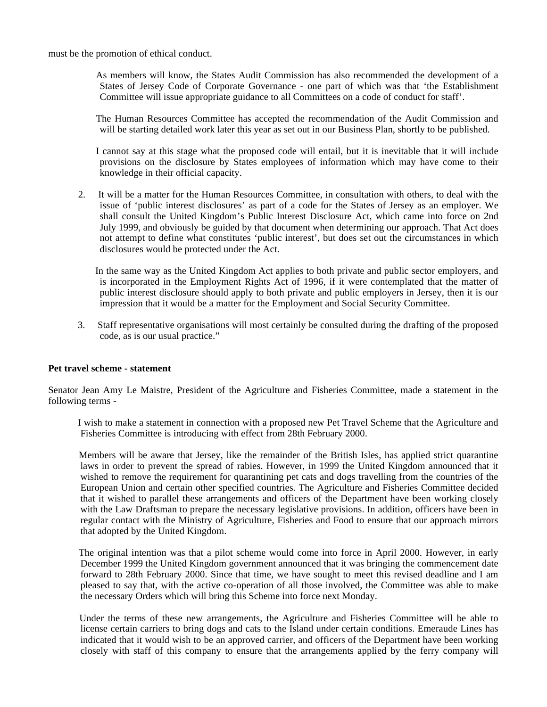must be the promotion of ethical conduct.

 As members will know, the States Audit Commission has also recommended the development of a States of Jersey Code of Corporate Governance - one part of which was that 'the Establishment Committee will issue appropriate guidance to all Committees on a code of conduct for staff'.

 The Human Resources Committee has accepted the recommendation of the Audit Commission and will be starting detailed work later this year as set out in our Business Plan, shortly to be published.

 I cannot say at this stage what the proposed code will entail, but it is inevitable that it will include provisions on the disclosure by States employees of information which may have come to their knowledge in their official capacity.

 2. It will be a matter for the Human Resources Committee, in consultation with others, to deal with the issue of 'public interest disclosures' as part of a code for the States of Jersey as an employer. We shall consult the United Kingdom's Public Interest Disclosure Act, which came into force on 2nd July 1999, and obviously be guided by that document when determining our approach. That Act does not attempt to define what constitutes 'public interest', but does set out the circumstances in which disclosures would be protected under the Act.

 In the same way as the United Kingdom Act applies to both private and public sector employers, and is incorporated in the Employment Rights Act of 1996, if it were contemplated that the matter of public interest disclosure should apply to both private and public employers in Jersey, then it is our impression that it would be a matter for the Employment and Social Security Committee.

 3. Staff representative organisations will most certainly be consulted during the drafting of the proposed code, as is our usual practice."

# **Pet travel scheme - statement**

Senator Jean Amy Le Maistre, President of the Agriculture and Fisheries Committee, made a statement in the following terms -

 I wish to make a statement in connection with a proposed new Pet Travel Scheme that the Agriculture and Fisheries Committee is introducing with effect from 28th February 2000.

 Members will be aware that Jersey, like the remainder of the British Isles, has applied strict quarantine laws in order to prevent the spread of rabies. However, in 1999 the United Kingdom announced that it wished to remove the requirement for quarantining pet cats and dogs travelling from the countries of the European Union and certain other specified countries. The Agriculture and Fisheries Committee decided that it wished to parallel these arrangements and officers of the Department have been working closely with the Law Draftsman to prepare the necessary legislative provisions. In addition, officers have been in regular contact with the Ministry of Agriculture, Fisheries and Food to ensure that our approach mirrors that adopted by the United Kingdom.

 The original intention was that a pilot scheme would come into force in April 2000. However, in early December 1999 the United Kingdom government announced that it was bringing the commencement date forward to 28th February 2000. Since that time, we have sought to meet this revised deadline and I am pleased to say that, with the active co-operation of all those involved, the Committee was able to make the necessary Orders which will bring this Scheme into force next Monday.

 Under the terms of these new arrangements, the Agriculture and Fisheries Committee will be able to license certain carriers to bring dogs and cats to the Island under certain conditions. Emeraude Lines has indicated that it would wish to be an approved carrier, and officers of the Department have been working closely with staff of this company to ensure that the arrangements applied by the ferry company will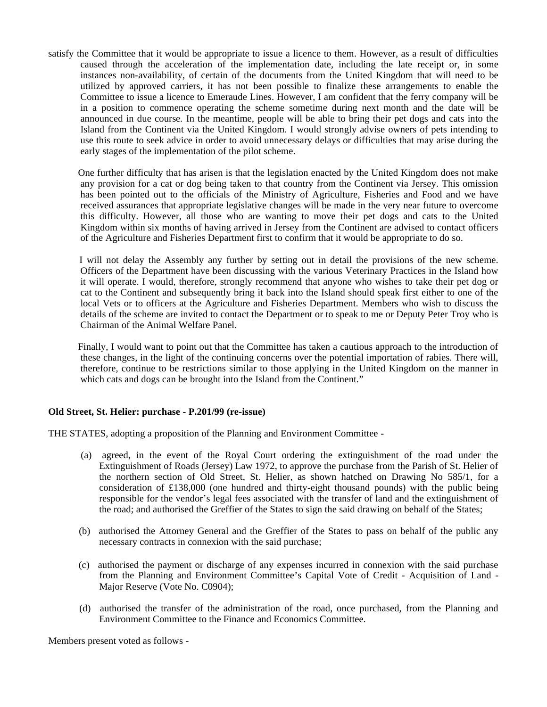satisfy the Committee that it would be appropriate to issue a licence to them. However, as a result of difficulties caused through the acceleration of the implementation date, including the late receipt or, in some instances non-availability, of certain of the documents from the United Kingdom that will need to be utilized by approved carriers, it has not been possible to finalize these arrangements to enable the Committee to issue a licence to Emeraude Lines. However, I am confident that the ferry company will be in a position to commence operating the scheme sometime during next month and the date will be announced in due course*.* In the meantime, people will be able to bring their pet dogs and cats into the Island from the Continent via the United Kingdom. I would strongly advise owners of pets intending to use this route to seek advice in order to avoid unnecessary delays or difficulties that may arise during the early stages of the implementation of the pilot scheme*.*

 One further difficulty that has arisen is that the legislation enacted by the United Kingdom does not make any provision for a cat or dog being taken to that country from the Continent via Jersey. This omission has been pointed out to the officials of the Ministry of Agriculture, Fisheries and Food and we have received assurances that appropriate legislative changes will be made in the very near future to overcome this difficulty. However, all those who are wanting to move their pet dogs and cats to the United Kingdom within six months of having arrived in Jersey from the Continent are advised to contact officers of the Agriculture and Fisheries Department first to confirm that it would be appropriate to do so.

 I will not delay the Assembly any further by setting out in detail the provisions of the new scheme. Officers of the Department have been discussing with the various Veterinary Practices in the Island how it will operate. I would, therefore, strongly recommend that anyone who wishes to take their pet dog or cat to the Continent and subsequently bring it back into the Island should speak first either to one of the local Vets or to officers at the Agriculture and Fisheries Department. Members who wish to discuss the details of the scheme are invited to contact the Department or to speak to me or Deputy Peter Troy who is Chairman of the Animal Welfare Panel.

 Finally, I would want to point out that the Committee has taken a cautious approach to the introduction of these changes, in the light of the continuing concerns over the potential importation of rabies. There will, therefore, continue to be restrictions similar to those applying in the United Kingdom on the manner in which cats and dogs can be brought into the Island from the Continent."

# **Old Street, St. Helier: purchase - P.201/99 (re-issue)**

THE STATES, adopting a proposition of the Planning and Environment Committee -

- (a) agreed, in the event of the Royal Court ordering the extinguishment of the road under the Extinguishment of Roads (Jersey) Law 1972, to approve the purchase from the Parish of St. Helier of the northern section of Old Street, St. Helier, as shown hatched on Drawing No 585/1, for a consideration of £138,000 (one hundred and thirty-eight thousand pounds) with the public being responsible for the vendor's legal fees associated with the transfer of land and the extinguishment of the road; and authorised the Greffier of the States to sign the said drawing on behalf of the States;
- (b) authorised the Attorney General and the Greffier of the States to pass on behalf of the public any necessary contracts in connexion with the said purchase;
- (c) authorised the payment or discharge of any expenses incurred in connexion with the said purchase from the Planning and Environment Committee's Capital Vote of Credit - Acquisition of Land - Major Reserve (Vote No. C0904);
- (d) authorised the transfer of the administration of the road, once purchased, from the Planning and Environment Committee to the Finance and Economics Committee.

Members present voted as follows -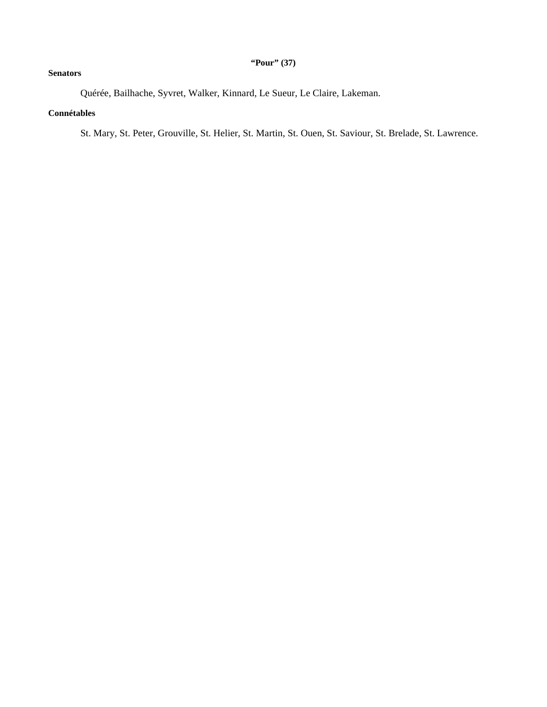# **"Pour" (37)**

# **Senators**

Quérée, Bailhache, Syvret, Walker, Kinnard, Le Sueur, Le Claire, Lakeman.

# **Connétables**

St. Mary, St. Peter, Grouville, St. Helier, St. Martin, St. Ouen, St. Saviour, St. Brelade, St. Lawrence.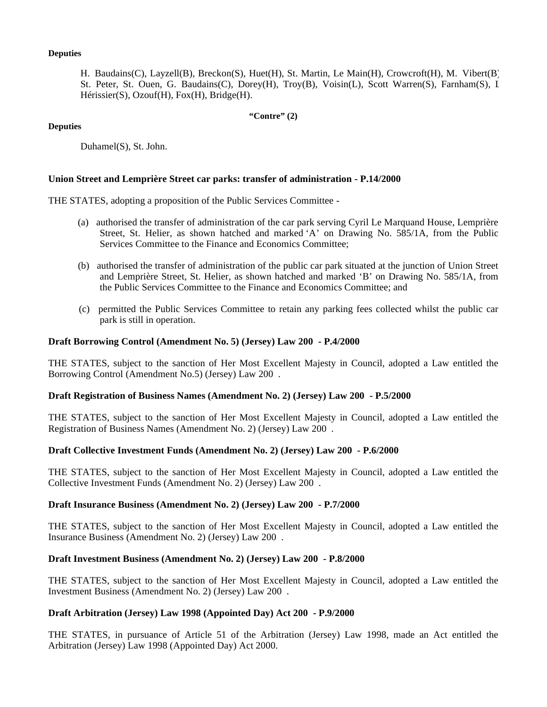### **Deputies**

H. Baudains(C), Layzell(B), Breckon(S), Huet(H), St. Martin, Le Main(H), Crowcroft(H), M. Vibert(B), St. Peter, St. Ouen, G. Baudains(C), Dorey(H), Troy(B), Voisin(L), Scott Warren(S), Farnham(S), I Hérissier(S), Ozouf(H), Fox(H), Bridge(H).

### **"Contre" (2)**

### **Deputies**

Duhamel(S), St. John.

### **Union Street and Lemprière Street car parks: transfer of administration - P.14/2000**

THE STATES, adopting a proposition of the Public Services Committee -

- (a) authorised the transfer of administration of the car park serving Cyril Le Marquand House, Lemprière Street, St. Helier, as shown hatched and marked 'A' on Drawing No. 585/1A, from the Public Services Committee to the Finance and Economics Committee;
- (b) authorised the transfer of administration of the public car park situated at the junction of Union Street and Lemprière Street, St. Helier, as shown hatched and marked 'B' on Drawing No. 585/1A, from the Public Services Committee to the Finance and Economics Committee; and
- (c) permitted the Public Services Committee to retain any parking fees collected whilst the public car park is still in operation.

### **Draft Borrowing Control (Amendment No. 5) (Jersey) Law 200 - P.4/2000**

THE STATES, subject to the sanction of Her Most Excellent Majesty in Council, adopted a Law entitled the Borrowing Control (Amendment No.5) (Jersey) Law 200 .

### **Draft Registration of Business Names (Amendment No. 2) (Jersey) Law 200 - P.5/2000**

THE STATES, subject to the sanction of Her Most Excellent Majesty in Council, adopted a Law entitled the Registration of Business Names (Amendment No. 2) (Jersey) Law 200 .

### **Draft Collective Investment Funds (Amendment No. 2) (Jersey) Law 200 - P.6/2000**

THE STATES, subject to the sanction of Her Most Excellent Majesty in Council, adopted a Law entitled the Collective Investment Funds (Amendment No. 2) (Jersey) Law 200 .

### **Draft Insurance Business (Amendment No. 2) (Jersey) Law 200 - P.7/2000**

THE STATES, subject to the sanction of Her Most Excellent Majesty in Council, adopted a Law entitled the Insurance Business (Amendment No. 2) (Jersey) Law 200 .

### **Draft Investment Business (Amendment No. 2) (Jersey) Law 200 - P.8/2000**

THE STATES, subject to the sanction of Her Most Excellent Majesty in Council, adopted a Law entitled the Investment Business (Amendment No. 2) (Jersey) Law 200 .

# **Draft Arbitration (Jersey) Law 1998 (Appointed Day) Act 200 - P.9/2000**

THE STATES, in pursuance of Article 51 of the Arbitration (Jersey) Law 1998, made an Act entitled the Arbitration (Jersey) Law 1998 (Appointed Day) Act 2000.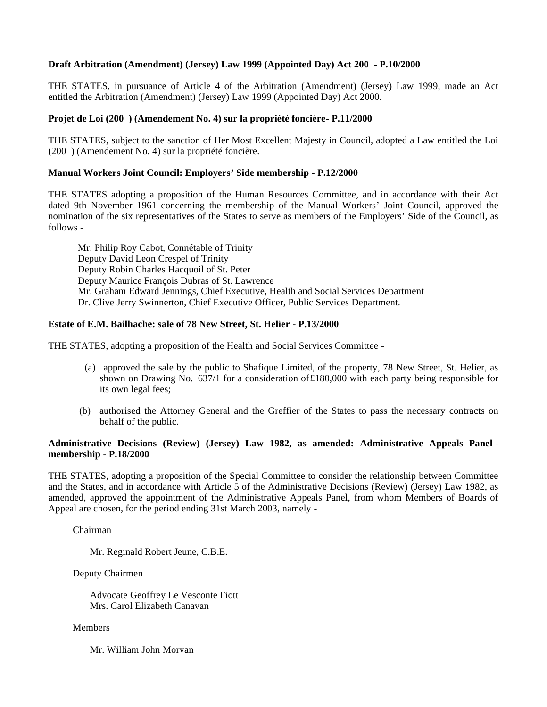# **Draft Arbitration (Amendment) (Jersey) Law 1999 (Appointed Day) Act 200 - P.10/2000**

THE STATES, in pursuance of Article 4 of the Arbitration (Amendment) (Jersey) Law 1999, made an Act entitled the Arbitration (Amendment) (Jersey) Law 1999 (Appointed Day) Act 2000.

# **Projet de Loi (200 ) (Amendement No. 4) sur la propriété foncière- P.11/2000**

THE STATES, subject to the sanction of Her Most Excellent Majesty in Council, adopted a Law entitled the Loi (200 ) (Amendement No. 4) sur la propriété foncière.

### **Manual Workers Joint Council: Employers' Side membership - P.12/2000**

THE STATES adopting a proposition of the Human Resources Committee, and in accordance with their Act dated 9th November 1961 concerning the membership of the Manual Workers' Joint Council, approved the nomination of the six representatives of the States to serve as members of the Employers' Side of the Council, as follows -

 Mr. Philip Roy Cabot, Connétable of Trinity Deputy David Leon Crespel of Trinity Deputy Robin Charles Hacquoil of St. Peter Deputy Maurice François Dubras of St. Lawrence Mr. Graham Edward Jennings, Chief Executive, Health and Social Services Department Dr. Clive Jerry Swinnerton, Chief Executive Officer, Public Services Department.

# **Estate of E.M. Bailhache: sale of 78 New Street, St. Helier - P.13/2000**

THE STATES, adopting a proposition of the Health and Social Services Committee -

- (a) approved the sale by the public to Shafique Limited, of the property, 78 New Street, St. Helier, as shown on Drawing No. 637/1 for a consideration of£180,000 with each party being responsible for its own legal fees;
- (b) authorised the Attorney General and the Greffier of the States to pass the necessary contracts on behalf of the public.

# **Administrative Decisions (Review) (Jersey) Law 1982, as amended: Administrative Appeals Panel membership - P.18/2000**

THE STATES, adopting a proposition of the Special Committee to consider the relationship between Committee and the States, and in accordance with Article 5 of the Administrative Decisions (Review) (Jersey) Law 1982, as amended, approved the appointment of the Administrative Appeals Panel, from whom Members of Boards of Appeal are chosen, for the period ending 31st March 2003, namely -

Chairman

Mr. Reginald Robert Jeune, C.B.E.

Deputy Chairmen

 Advocate Geoffrey Le Vesconte Fiott Mrs. Carol Elizabeth Canavan

Members

Mr. William John Morvan